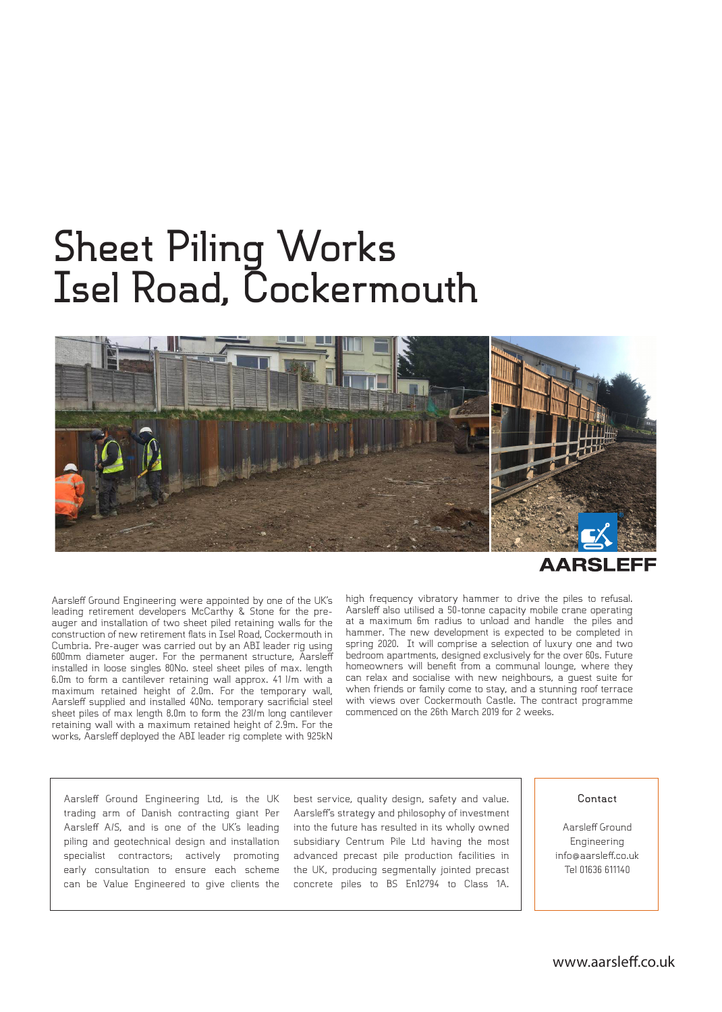## **Sheet Piling Works Isel Road, Cockermouth**



Aarsleff Ground Engineering were appointed by one of the UK's leading retirement developers McCarthy & Stone for the preauger and installation of two sheet piled retaining walls for the construction of new retirement flats in Isel Road, Cockermouth in Cumbria. Pre-auger was carried out by an ABI leader rig using 600mm diameter auger. For the permanent structure, Aarsleff installed in loose singles 80No. steel sheet piles of max. length 6.0m to form a cantilever retaining wall approx. 41 l/m with a maximum retained height of 2.0m. For the temporary wall, Aarsleff supplied and installed 40No. temporary sacrificial steel sheet piles of max length 8.0m to form the 23l/m long cantilever retaining wall with a maximum retained height of 2.9m. For the works, Aarsleff deployed the ABI leader rig complete with 925kN

high frequency vibratory hammer to drive the piles to refusal. Aarsleff also utilised a 50-tonne capacity mobile crane operating at a maximum 6m radius to unload and handle the piles and hammer. The new development is expected to be completed in spring 2020. It will comprise a selection of luxury one and two bedroom apartments, designed exclusively for the over 60s. Future homeowners will benefit from a communal lounge, where they can relax and socialise with new neighbours, a guest suite for when friends or family come to stay, and a stunning roof terrace with views over Cockermouth Castle. The contract programme commenced on the 26th March 2019 for 2 weeks.

Aarsleff Ground Engineering Ltd, is the UK trading arm of Danish contracting giant Per Aarsleff A/S, and is one of the UK's leading piling and geotechnical design and installation specialist contractors; actively promoting early consultation to ensure each scheme can be Value Engineered to give clients the

best service, quality design, safety and value. Aarsleff's strategy and philosophy of investment into the future has resulted in its wholly owned subsidiary Centrum Pile Ltd having the most advanced precast pile production facilities in the UK, producing segmentally jointed precast concrete piles to BS En12794 to Class 1A.

## **Contact**

Aarsleff Ground Engineering info@aarsleff.co.uk Tel 01636 611140